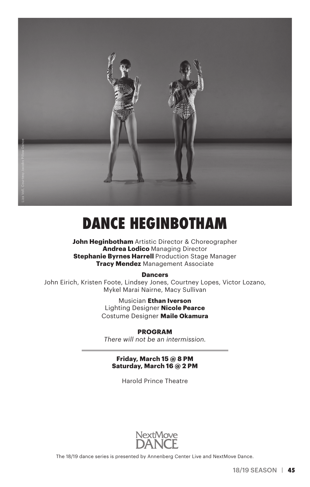

# **DANCE HEGINBOTHAM**

**John Heginbotham** Artistic Director & Choreographer **Andrea Lodico** Managing Director **Stephanie Byrnes Harrell Production Stage Manager Tracy Mendez** Management Associate

#### **Dancers**

John Eirich, Kristen Foote, Lindsey Jones, Courtney Lopes, Victor Lozano, Mykel Marai Nairne, Macy Sullivan

> Musician **Ethan Iverson** Lighting Designer **Nicole Pearce** Costume Designer **Maile Okamura**

> > **PROGRAM**

*There will not be an intermission.*

**Friday, March 15 @ 8 PM Saturday, March 16 @ 2 PM**

Harold Prince Theatre



The 18/19 dance series is presented by Annenberg Center Live and NextMove Dance.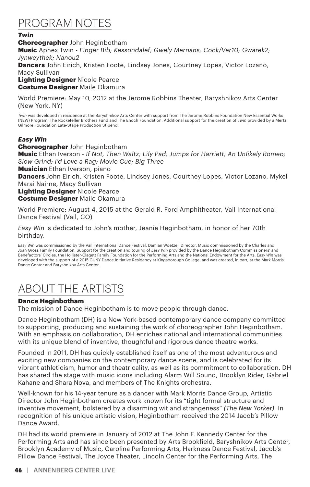# PROGRAM NOTES

#### *Twin*

**Choreographer** John Heginbotham **Music** Aphex Twin - *Finger Bib; Kessondalef; Gwely Mernans; Cock/Ver10; Gwarek2; Jynweythek; Nanou2* **Dancers** John Eirich, Kristen Foote, Lindsey Jones, Courtney Lopes, Victor Lozano, Macy Sullivan **Lighting Designer** Nicole Pearce

**Costume Designer** Maile Okamura

World Premiere: May 10, 2012 at the Jerome Robbins Theater, Baryshnikov Arts Center (New York, NY)

*Twin* was developed in residence at the Baryshnikov Arts Center with support from The Jerome Robbins Foundation New Essential Works (NEW) Program, The Rockefeller Brothers Fund and The Enoch Foundation. Additional support for the creation of *Twin* provided by a Mertz Gilmore Foundation Late-Stage Production Stipend.

#### *Easy Win*

**Choreographer** John Heginbotham

**Music** Ethan Iverson - *If Not, Then Waltz; Lily Pad; Jumps for Harriett; An Unlikely Romeo; Slow Grind; I'd Love a Rag; Movie Cue; Big Three*

**Musician** Ethan Iverson, piano

**Dancers** John Eirich, Kristen Foote, Lindsey Jones, Courtney Lopes, Victor Lozano, Mykel Marai Nairne, Macy Sullivan

**Lighting Designer** Nicole Pearce **Costume Designer** Maile Okamura

World Premiere: August 4, 2015 at the Gerald R. Ford Amphitheater, Vail International Dance Festival (Vail, CO)

*Easy Win* is dedicated to John's mother, Jeanie Heginbotham, in honor of her 70th birthday.

*Easy Win* was commissioned by the Vail International Dance Festival, Damian Woetzel, Director. Music commissioned by the Charles and Joan Gross Family Foundation. Support for the creation and touring of *Easy Win* provided by the Dance Heginbotham Commissioners' and Benefactors' Circles, the Hollister-Clagett Family Foundation for the Performing Arts and the National Endowment for the Arts. *Easy Win* was developed with the support of a 2015 CUNY Dance Initiative Residency at Kingsborough College, and was created, in part, at the Mark Morris Dance Center and Baryshnikov Arts Center.

# ABOUT THE ARTISTS

#### **Dance Heginbotham**

The mission of Dance Heginbotham is to move people through dance.

Dance Heginbotham (DH) is a New York-based contemporary dance company committed to supporting, producing and sustaining the work of choreographer John Heginbotham. With an emphasis on collaboration, DH enriches national and international communities with its unique blend of inventive, thoughtful and rigorous dance theatre works.

Founded in 2011, DH has quickly established itself as one of the most adventurous and exciting new companies on the contemporary dance scene, and is celebrated for its vibrant athleticism, humor and theatricality, as well as its commitment to collaboration. DH has shared the stage with music icons including Alarm Will Sound, Brooklyn Rider, Gabriel Kahane and Shara Nova, and members of The Knights orchestra.

Well-known for his 14-year tenure as a dancer with Mark Morris Dance Group, Artistic Director John Heginbotham creates work known for its "tight formal structure and inventive movement, bolstered by a disarming wit and strangeness" *(The New Yorker).* In recognition of his unique artistic vision, Heginbotham received the 2014 Jacob's Pillow Dance Award.

DH had its world premiere in January of 2012 at The John F. Kennedy Center for the Performing Arts and has since been presented by Arts Brookfield, Baryshnikov Arts Center, Brooklyn Academy of Music, Carolina Performing Arts, Harkness Dance Festival, Jacob's Pillow Dance Festival, The Joyce Theater, Lincoln Center for the Performing Arts, The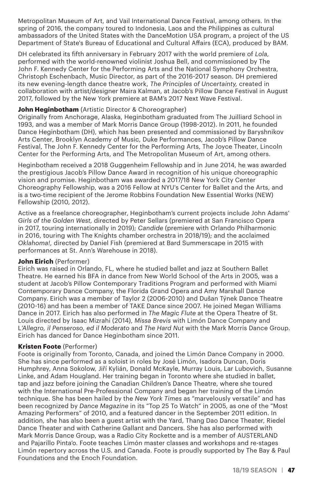Metropolitan Museum of Art, and Vail International Dance Festival, among others. In the spring of 2016, the company toured to Indonesia, Laos and the Philippines as cultural ambassadors of the United States with the DanceMotion USA program, a project of the US Department of State's Bureau of Educational and Cultural Affairs (ECA), produced by BAM.

DH celebrated its fifth anniversary in February 2017 with the world premiere of *Lola,* performed with the world-renowned violinist Joshua Bell, and commissioned by The John F. Kennedy Center for the Performing Arts and the National Symphony Orchestra, Christoph Eschenbach, Music Director, as part of the 2016-2017 season. DH premiered its new evening-length dance theatre work, *The Principles of Uncertainty,* created in collaboration with artist/designer Maira Kalman, at Jacob's Pillow Dance Festival in August 2017, followed by the New York premiere at BAM's 2017 Next Wave Festival.

# **John Heginbotham** (Artistic Director & Choreographer)

Originally from Anchorage, Alaska, Heginbotham graduated from The Juilliard School in 1993, and was a member of Mark Morris Dance Group (1998-2012). In 2011, he founded Dance Heginbotham (DH), which has been presented and commissioned by Baryshnikov Arts Center, Brooklyn Academy of Music, Duke Performances, Jacob's Pillow Dance Festival, The John F. Kennedy Center for the Performing Arts, The Joyce Theater, Lincoln Center for the Performing Arts, and The Metropolitan Museum of Art, among others.

Heginbotham received a 2018 Guggenheim Fellowship and in June 2014, he was awarded the prestigious Jacob's Pillow Dance Award in recognition of his unique choreographic vision and promise. Heginbotham was awarded a 2017/18 New York City Center Choreography Fellowship, was a 2016 Fellow at NYU's Center for Ballet and the Arts, and is a two-time recipient of the Jerome Robbins Foundation New Essential Works (NEW) Fellowship (2010, 2012).

Active as a freelance choreographer, Heginbotham's current projects include John Adams' *Girls of the Golden West,* directed by Peter Sellars (premiered at San Francisco Opera in 2017, touring internationally in 2019); *Candide* (premiere with Orlando Philharmonic in 2016, touring with The Knights chamber orchestra in 2018/19); and the acclaimed *Oklahoma!,* directed by Daniel Fish (premiered at Bard Summerscape in 2015 with performances at St. Ann's Warehouse in 2018).

#### **John Eirich** (Performer)

Eirich was raised in Orlando, FL, where he studied ballet and jazz at Southern Ballet Theatre. He earned his BFA in dance from New World School of the Arts in 2005, was a student at Jacob's Pillow Contemporary Traditions Program and performed with Miami Contemporary Dance Company, the Florida Grand Opera and Amy Marshall Dance Company. Eirich was a member of Taylor 2 (2006-2010) and Dušan Týnek Dance Theatre (2010-16) and has been a member of TAKE Dance since 2007. He joined Megan Williams Dance in 2017. Eirich has also performed in *The Magic Flute* at the Opera Theatre of St. Louis directed by Isaac Mizrahi (2014), *Missa Brevis* with Limón Dance Company and L*'Allegro, il Penseroso, ed il Moderato* and *The Hard Nut* with the Mark Morris Dance Group. Eirich has danced for Dance Heginbotham since 2011.

# **Kristen Foote** (Performer)

Foote is originally from Toronto, Canada, and joined the Limón Dance Company in 2000. She has since performed as a soloist in roles by José Limón, Isadora Duncan, Doris Humphrey, Anna Sokolow, Jiří Kylián, Donald McKayle, Murray Louis, Lar Lubovich, Susanne Linke, and Adam Hougland. Her training began in Toronto where she studied in ballet, tap and jazz before joining the Canadian Children's Dance Theatre, where she toured with the International Pre-Professional Company and began her training of the Limón technique. She has been hailed by the *New York Times* as "marvelously versatile" and has been recognized by *Dance Magazine* in its "Top 25 To Watch" in 2005, as one of the "Most Amazing Performers" of 2010, and a featured dancer in the September 2011 edition. In addition, she has also been a guest artist with the Yard, Thang Dao Dance Theater, Riedel Dance Theater and with Catherine Gallant and Dancers. She has also performed with Mark Morris Dance Group, was a Radio City Rockette and is a member of AUSTERLAND and Pajarillo Pinta'o. Foote teaches Limón master classes and workshops and re-stages Limón repertory across the U.S. and Canada. Foote is proudly supported by The Bay & Paul Foundations and the Enoch Foundation.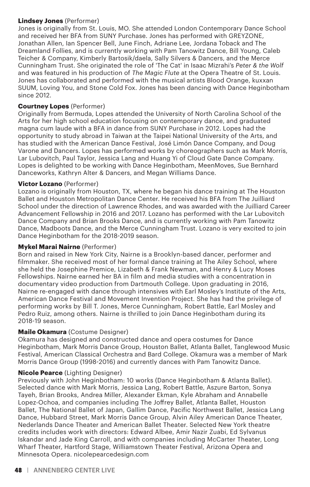# **Lindsey Jones** (Performer)

Jones is originally from St. Louis, MO. She attended London Contemporary Dance School and received her BFA from SUNY Purchase. Jones has performed with GREYZONE, Jonathan Allen, Ian Spencer Bell, June Finch, Adriane Lee, Jordana Toback and The Dreamland Follies, and is currently working with Pam Tanowitz Dance, Bill Young, Caleb Teicher & Company, Kimberly Bartosik/daela, Sally Silvers & Dancers, and the Merce Cunningham Trust. She originated the role of 'The Cat' in Isaac Mizrahi's *Peter & the Wolf* and was featured in his production of *The Magic Flute* at the Opera Theatre of St. Louis. Jones has collaborated and performed with the musical artists Blood Orange, kuxxan SUUM, Loving You, and Stone Cold Fox. Jones has been dancing with Dance Heginbotham since 2012.

# **Courtney Lopes** (Performer)

Originally from Bermuda, Lopes attended the University of North Carolina School of the Arts for her high school education focusing on contemporary dance, and graduated magna cum laude with a BFA in dance from SUNY Purchase in 2012. Lopes had the opportunity to study abroad in Taiwan at the Taipei National University of the Arts, and has studied with the American Dance Festival, José Limón Dance Company, and Doug Varone and Dancers. Lopes has performed works by choreographers such as Mark Morris, Lar Lubovitch, Paul Taylor, Jessica Lang and Huang Yi of Cloud Gate Dance Company. Lopes is delighted to be working with Dance Heginbotham, MeenMoves, Sue Bernhard Danceworks, Kathryn Alter & Dancers, and Megan Williams Dance.

# **Victor Lozano** (Performer)

Lozano is originally from Houston, TX, where he began his dance training at The Houston Ballet and Houston Metropolitan Dance Center. He received his BFA from The Juilliard School under the direction of Lawrence Rhodes, and was awarded with the Juilliard Career Advancement Fellowship in 2016 and 2017. Lozano has performed with the Lar Lubovitch Dance Company and Brian Brooks Dance, and is currently working with Pam Tanowitz Dance, Madboots Dance, and the Merce Cunningham Trust. Lozano is very excited to join Dance Heginbotham for the 2018-2019 season.

# **Mykel Marai Nairne** (Performer)

Born and raised in New York City, Nairne is a Brooklyn-based dancer, performer and filmmaker. She received most of her formal dance training at The Ailey School, where she held the Josephine Premice, Lizabeth & Frank Newman, and Henry & Lucy Moses Fellowships. Nairne earned her BA in film and media studies with a concentration in documentary video production from Dartmouth College. Upon graduating in 2016, Nairne re-engaged with dance through intensives with Earl Mosley's Institute of the Arts, American Dance Festival and Movement Invention Project. She has had the privilege of performing works by Bill T. Jones, Merce Cunningham, Robert Battle, Earl Mosley and Pedro Ruiz, among others. Nairne is thrilled to join Dance Heginbotham during its 2018-19 season.

# **Maile Okamura** (Costume Designer)

Okamura has designed and constructed dance and opera costumes for Dance Heginbotham, Mark Morris Dance Group, Houston Ballet, Atlanta Ballet, Tanglewood Music Festival, American Classical Orchestra and Bard College. Okamura was a member of Mark Morris Dance Group (1998-2016) and currently dances with Pam Tanowitz Dance.

#### **Nicole Pearce** (Lighting Designer)

Previously with John Heginbotham: 10 works (Dance Heginbotham & Atlanta Ballet). Selected dance with Mark Morris, Jessica Lang, Robert Battle, Aszure Barton, Sonya Tayeh, Brian Brooks, Andrea Miller, Alexander Ekman, Kyle Abraham and Annabelle Lopez-Ochoa, and companies including The Joffrey Ballet, Atlanta Ballet, Houston Ballet, The National Ballet of Japan, Gallim Dance, Pacific Northwest Ballet, Jessica Lang Dance, Hubbard Street, Mark Morris Dance Group, Alvin Ailey American Dance Theater, Nederlands Dance Theater and American Ballet Theater. Selected New York theatre credits includes work with directors: Edward Albee, Amir Nazir Zuabi, Ed Sylvanus Iskandar and Jade King Carroll, and with companies including McCarter Theater, Long Wharf Theater, Hartford Stage, Williamstown Theater Festival, Arizona Opera and Minnesota Opera. nicolepearcedesign.com